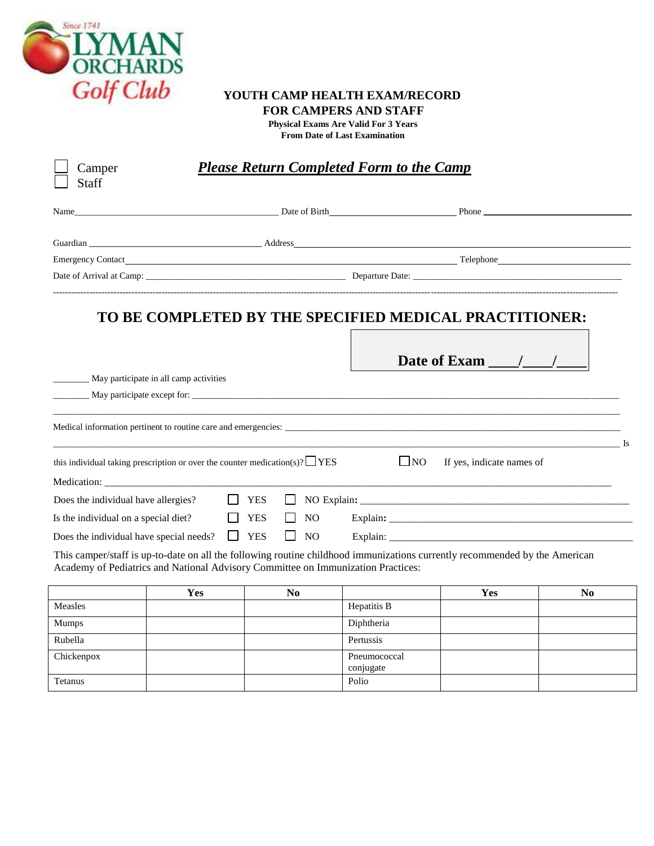

## **YOUTH CAMP HEALTH EXAM/RECORD FOR CAMPERS AND STAFF**

**Physical Exams Are Valid For 3 Years From Date of Last Examination**

| <b>Please Return Completed Form to the Camp</b><br>Camper                       |                                                                                   |                                                |                           |                                                                                                                            |                |  |
|---------------------------------------------------------------------------------|-----------------------------------------------------------------------------------|------------------------------------------------|---------------------------|----------------------------------------------------------------------------------------------------------------------------|----------------|--|
| Staff                                                                           |                                                                                   |                                                |                           |                                                                                                                            |                |  |
| Name                                                                            | Date of Birth                                                                     |                                                |                           | <b>Phone</b>                                                                                                               |                |  |
|                                                                                 |                                                                                   |                                                |                           |                                                                                                                            |                |  |
|                                                                                 |                                                                                   |                                                |                           | Emergency Contact Telephone and Telephone and Telephone and Telephone and Telephone and Telephone and Telephone            |                |  |
|                                                                                 |                                                                                   |                                                |                           |                                                                                                                            |                |  |
|                                                                                 | _ May participate in all camp activities                                          |                                                |                           | TO BE COMPLETED BY THE SPECIFIED MEDICAL PRACTITIONER:<br>Date of Exam $\frac{1}{\sqrt{2}}$<br>May participate except for: |                |  |
|                                                                                 | this individual taking prescription or over the counter medication(s)? $\Box$ YES |                                                | $\Box$ NO                 | If yes, indicate names of                                                                                                  | $\mathbf{I}$ s |  |
|                                                                                 |                                                                                   |                                                |                           |                                                                                                                            |                |  |
| Does the individual have allergies?                                             |                                                                                   | <b>YES</b>                                     |                           |                                                                                                                            |                |  |
| Is the individual on a special diet?<br>Does the individual have special needs? | $\Box$                                                                            | <b>YES</b><br>NO<br><b>YES</b><br>NO<br>$\Box$ |                           |                                                                                                                            |                |  |
|                                                                                 | Academy of Pediatrics and National Advisory Committee on Immunization Practices:  |                                                |                           | This camper/staff is up-to-date on all the following routine childhood immunizations currently recommended by the American |                |  |
|                                                                                 | Yes                                                                               | N <sub>0</sub>                                 |                           | <b>Yes</b>                                                                                                                 | No.            |  |
| Measles                                                                         |                                                                                   |                                                | Hepatitis B               |                                                                                                                            |                |  |
| Mumps                                                                           |                                                                                   |                                                | Diphtheria                |                                                                                                                            |                |  |
| Rubella                                                                         |                                                                                   |                                                | Pertussis                 |                                                                                                                            |                |  |
| Chickenpox                                                                      |                                                                                   |                                                | Pneumococcal<br>conjugate |                                                                                                                            |                |  |

Tetanus and a police and a police of the police of the Police and Police and Police and Police and Police and Police and Police and Police and Police and Police and Police and Police and Police and Police and Police and Po